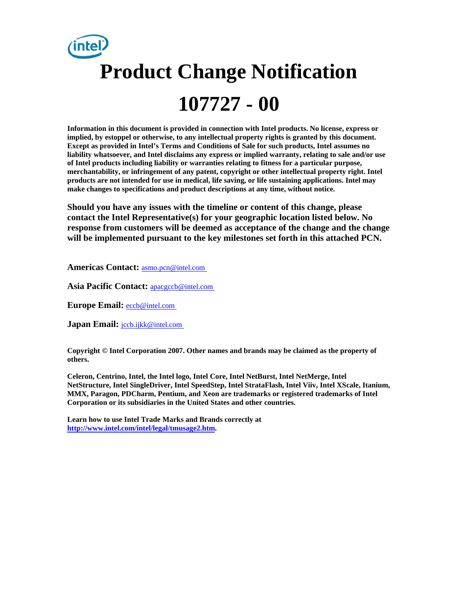# **Product Change Notification 107727 - 00**

**Information in this document is provided in connection with Intel products. No license, express or implied, by estoppel or otherwise, to any intellectual property rights is granted by this document. Except as provided in Intel's Terms and Conditions of Sale for such products, Intel assumes no liability whatsoever, and Intel disclaims any express or implied warranty, relating to sale and/or use of Intel products including liability or warranties relating to fitness for a particular purpose, merchantability, or infringement of any patent, copyright or other intellectual property right. Intel products are not intended for use in medical, life saving, or life sustaining applications. Intel may make changes to specifications and product descriptions at any time, without notice.** 

**Should you have any issues with the timeline or content of this change, please contact the Intel Representative(s) for your geographic location listed below. No response from customers will be deemed as acceptance of the change and the change will be implemented pursuant to the key milestones set forth in this attached PCN.** 

**Americas Contact:** [asmo.pcn@intel.com](mailto:asmo.pcn@intel.com) 

**Asia Pacific Contact:** [apacgccb@intel.com](mailto:apacgccb@intel.com) 

**Europe Email:** [eccb@intel.com](mailto:eccb@intel.com) 

**Japan Email: jccb.ijkk@intel.com** 

**Copyright © Intel Corporation 2007. Other names and brands may be claimed as the property of others.**

**Celeron, Centrino, Intel, the Intel logo, Intel Core, Intel NetBurst, Intel NetMerge, Intel NetStructure, Intel SingleDriver, Intel SpeedStep, Intel StrataFlash, Intel Viiv, Intel XScale, Itanium, MMX, Paragon, PDCharm, Pentium, and Xeon are trademarks or registered trademarks of Intel Corporation or its subsidiaries in the United States and other countries.** 

**Learn how to use Intel Trade Marks and Brands correctly at [http://www.intel.com/intel/legal/tmusage2.htm.](http://www.intel.com/intel/legal/tmusage2.htm)**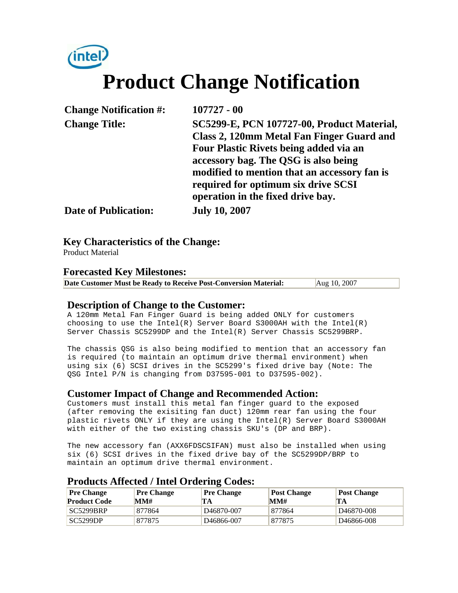## intel) **Product Change Notification**

| <b>Change Notification #:</b> | $107727 - 00$                                |
|-------------------------------|----------------------------------------------|
| <b>Change Title:</b>          | SC5299-E, PCN 107727-00, Product Material,   |
|                               | Class 2, 120mm Metal Fan Finger Guard and    |
|                               | Four Plastic Rivets being added via an       |
|                               | accessory bag. The QSG is also being         |
|                               | modified to mention that an accessory fan is |
|                               | required for optimum six drive SCSI          |
|                               | operation in the fixed drive bay.            |
| <b>Date of Publication:</b>   | <b>July 10, 2007</b>                         |

**Key Characteristics of the Change:**

Product Material

#### **Forecasted Key Milestones:**

**Date Customer Must be Ready to Receive Post-Conversion Material:** Aug 10, 2007

#### **Description of Change to the Customer:**

A 120mm Metal Fan Finger Guard is being added ONLY for customers choosing to use the Intel(R) Server Board S3000AH with the Intel(R) Server Chassis SC5299DP and the Intel(R) Server Chassis SC5299BRP.

The chassis QSG is also being modified to mention that an accessory fan is required (to maintain an optimum drive thermal environment) when using six (6) SCSI drives in the SC5299's fixed drive bay (Note: The QSG Intel P/N is changing from D37595-001 to D37595-002).

#### **Customer Impact of Change and Recommended Action:**

Customers must install this metal fan finger guard to the exposed (after removing the exisiting fan duct) 120mm rear fan using the four plastic rivets ONLY if they are using the Intel(R) Server Board S3000AH with either of the two existing chassis SKU's (DP and BRP).

The new accessory fan (AXX6FDSCSIFAN) must also be installed when using six (6) SCSI drives in the fixed drive bay of the SC5299DP/BRP to maintain an optimum drive thermal environment.

#### **Pre Change Product Code Pre Change MM# Pre Change TA Post Change MM# Post Change TA** SC5299BRP 877864 D46870-007 877864 D46870-008 SC5299DP 877875 D46866-007 877875 D46866-008

#### **Products Affected / Intel Ordering Codes:**